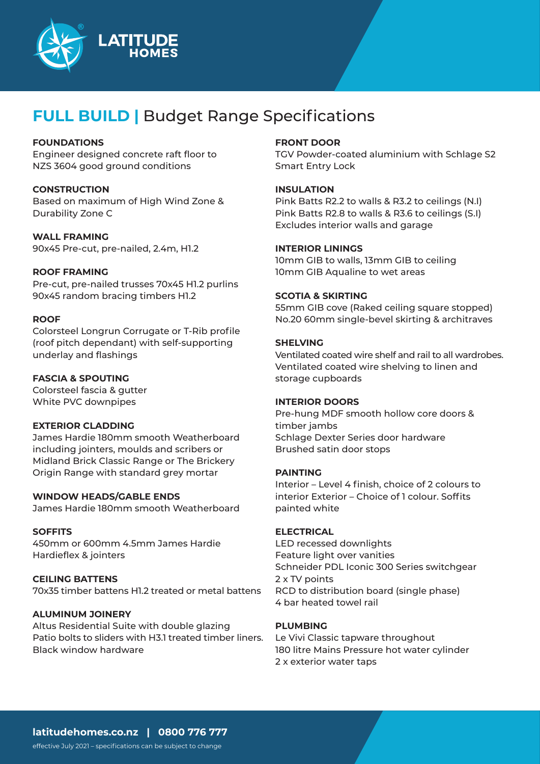

## **FULL BUILD |** Budget Range Specifications

## **FOUNDATIONS**

Engineer designed concrete raft floor to NZS 3604 good ground conditions

#### **CONSTRUCTION**

Based on maximum of High Wind Zone & Durability Zone C

**WALL FRAMING**

90x45 Pre-cut, pre-nailed, 2.4m, H1.2

#### **ROOF FRAMING**

Pre-cut, pre-nailed trusses 70x45 H1.2 purlins 90x45 random bracing timbers H1.2

#### **ROOF**

Colorsteel Longrun Corrugate or T-Rib profile (roof pitch dependant) with self-supporting underlay and flashings

## **FASCIA & SPOUTING**

Colorsteel fascia & gutter White PVC downpipes

#### **EXTERIOR CLADDING**

James Hardie 180mm smooth Weatherboard including jointers, moulds and scribers or Midland Brick Classic Range or The Brickery Origin Range with standard grey mortar

## **WINDOW HEADS/GABLE ENDS**

James Hardie 180mm smooth Weatherboard

## **SOFFITS**

450mm or 600mm 4.5mm James Hardie Hardieflex & jointers

## **CEILING BATTENS**

70x35 timber battens H1.2 treated or metal battens

## **ALUMINUM JOINERY**

Altus Residential Suite with double glazing Patio bolts to sliders with H3.1 treated timber liners. Black window hardware

### **FRONT DOOR**

TGV Powder-coated aluminium with Schlage S2 Smart Entry Lock

## **INSULATION**

Pink Batts R2.2 to walls & R3.2 to ceilings (N.I) Pink Batts R2.8 to walls & R3.6 to ceilings (S.I) Excludes interior walls and garage

## **INTERIOR LININGS**

10mm GIB to walls, 13mm GIB to ceiling 10mm GIB Aqualine to wet areas

## **SCOTIA & SKIRTING**

55mm GIB cove (Raked ceiling square stopped) No.20 60mm single-bevel skirting & architraves

## **SHELVING**

Ventilated coated wire shelf and rail to all wardrobes. Ventilated coated wire shelving to linen and storage cupboards

#### **INTERIOR DOORS**

Pre-hung MDF smooth hollow core doors & timber jambs Schlage Dexter Series door hardware Brushed satin door stops

#### **PAINTING**

Interior – Level 4 finish, choice of 2 colours to interior Exterior – Choice of 1 colour. Soffits painted white

#### **ELECTRICAL**

LED recessed downlights Feature light over vanities Schneider PDL Iconic 300 Series switchgear 2 x TV points RCD to distribution board (single phase) 4 bar heated towel rail

#### **PLUMBING**

Le Vivi Classic tapware throughout 180 litre Mains Pressure hot water cylinder 2 x exterior water taps